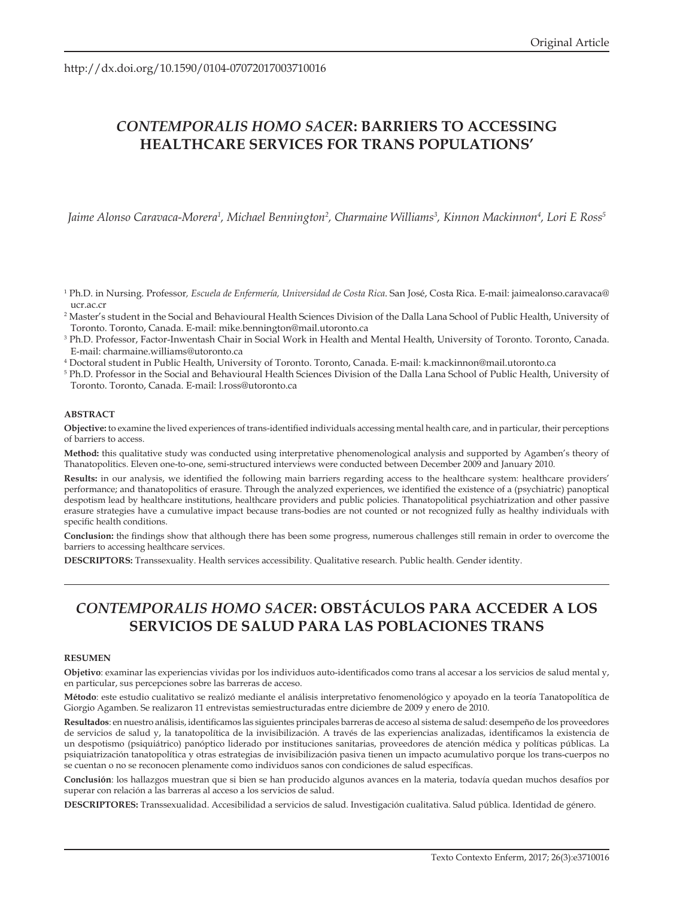http://dx.doi.org/10.1590/0104-07072017003710016

# *CONTEMPORALIS HOMO SACER***: BARRIERS TO ACCESSING HEALTHCARE SERVICES FOR TRANS POPULATIONS'**

Jaime Alonso Caravaca-Morera<sup>1</sup>, Michael Bennington<sup>2</sup>, Charmaine Williams<sup>3</sup>, Kinnon Mackinnon<sup>4</sup>, Lori E Ross<sup>5</sup>

- 1 Ph.D. in Nursing. Professor*, Escuela de Enfermería, Universidad de Costa Rica*. San José, Costa Rica. E-mail: jaimealonso.caravaca@ ucr.ac.cr
- 2 Master's student in the Social and Behavioural Health Sciences Division of the Dalla Lana School of Public Health, University of Toronto. Toronto, Canada. E-mail: mike.bennington@mail.utoronto.ca
- 3 Ph.D. Professor, Factor-Inwentash Chair in Social Work in Health and Mental Health, University of Toronto. Toronto, Canada. E-mail: charmaine.williams@utoronto.ca
- 4 Doctoral student in Public Health, University of Toronto. Toronto, Canada. E-mail: k.mackinnon@mail.utoronto.ca
- 5 Ph.D. Professor in the Social and Behavioural Health Sciences Division of the Dalla Lana School of Public Health, University of Toronto. Toronto, Canada. E-mail: l.ross@utoronto.ca

#### **ABSTRACT**

**Objective:** to examine the lived experiences of trans-identified individuals accessing mental health care, and in particular, their perceptions of barriers to access.

**Method:** this qualitative study was conducted using interpretative phenomenological analysis and supported by Agamben's theory of Thanatopolitics. Eleven one-to-one, semi-structured interviews were conducted between December 2009 and January 2010.

**Results:** in our analysis, we identified the following main barriers regarding access to the healthcare system: healthcare providers' performance; and thanatopolitics of erasure. Through the analyzed experiences, we identified the existence of a (psychiatric) panoptical despotism lead by healthcare institutions, healthcare providers and public policies. Thanatopolitical psychiatrization and other passive erasure strategies have a cumulative impact because trans-bodies are not counted or not recognized fully as healthy individuals with specific health conditions.

**Conclusion:** the findings show that although there has been some progress, numerous challenges still remain in order to overcome the barriers to accessing healthcare services.

**DESCRIPTORS:** Transsexuality. Health services accessibility. Qualitative research. Public health. Gender identity.

## *CONTEMPORALIS HOMO SACER***: OBSTÁCULOS PARA ACCEDER A LOS SERVICIOS DE SALUD PARA LAS POBLACIONES TRANS**

#### **RESUMEN**

**Objetivo**: examinar las experiencias vividas por los individuos auto-identificados como trans al accesar a los servicios de salud mental y, en particular, sus percepciones sobre las barreras de acceso.

**Método**: este estudio cualitativo se realizó mediante el análisis interpretativo fenomenológico y apoyado en la teoría Tanatopolítica de Giorgio Agamben. Se realizaron 11 entrevistas semiestructuradas entre diciembre de 2009 y enero de 2010.

**Resultados**: en nuestro análisis, identificamos las siguientes principales barreras de acceso al sistema de salud: desempeño de los proveedores de servicios de salud y, la tanatopolítica de la invisibilización. A través de las experiencias analizadas, identificamos la existencia de un despotismo (psiquiátrico) panóptico liderado por instituciones sanitarias, proveedores de atención médica y políticas públicas. La psiquiatrización tanatopolítica y otras estrategias de invisibilización pasiva tienen un impacto acumulativo porque los trans-cuerpos no se cuentan o no se reconocen plenamente como individuos sanos con condiciones de salud específicas.

**Conclusión**: los hallazgos muestran que si bien se han producido algunos avances en la materia, todavía quedan muchos desafíos por superar con relación a las barreras al acceso a los servicios de salud.

**DESCRIPTORES:** Transsexualidad. Accesibilidad a servicios de salud. Investigación cualitativa. Salud pública. Identidad de género.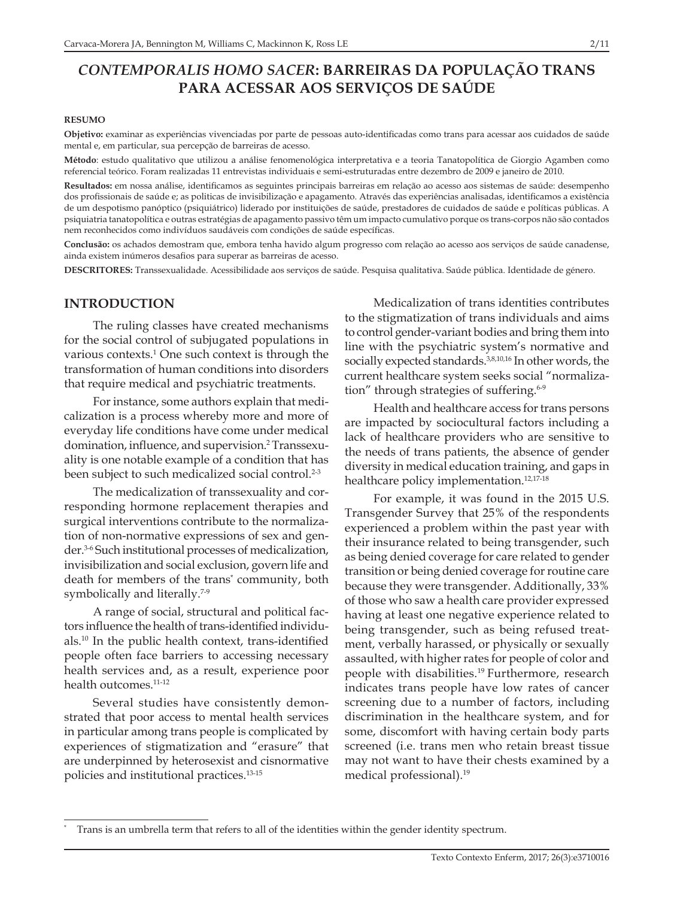## *CONTEMPORALIS HOMO SACER***: BARREIRAS DA POPULAÇÃO TRANS PARA ACESSAR AOS SERVIÇOS DE SAÚDE**

#### **RESUMO**

**Objetivo:** examinar as experiências vivenciadas por parte de pessoas auto-identificadas como trans para acessar aos cuidados de saúde mental e, em particular, sua percepção de barreiras de acesso.

**Método**: estudo qualitativo que utilizou a análise fenomenológica interpretativa e a teoria Tanatopolítica de Giorgio Agamben como referencial teórico. Foram realizadas 11 entrevistas individuais e semi-estruturadas entre dezembro de 2009 e janeiro de 2010.

**Resultados:** em nossa análise, identificamos as seguintes principais barreiras em relação ao acesso aos sistemas de saúde: desempenho dos profissionais de saúde e; as politicas de invisibilização e apagamento. Através das experiências analisadas, identificamos a existência de um despotismo panóptico (psiquiátrico) liderado por instituições de saúde, prestadores de cuidados de saúde e políticas públicas. A psiquiatria tanatopolítica e outras estratégias de apagamento passivo têm um impacto cumulativo porque os trans-corpos não são contados nem reconhecidos como indivíduos saudáveis com condições de saúde específicas.

**Conclusão:** os achados demostram que, embora tenha havido algum progresso com relação ao acesso aos serviços de saúde canadense, ainda existem inúmeros desafios para superar as barreiras de acesso.

**DESCRITORES:** Transsexualidade. Acessibilidade aos serviços de saúde. Pesquisa qualitativa. Saúde pública. Identidade de género.

#### **INTRODUCTION**

The ruling classes have created mechanisms for the social control of subjugated populations in various contexts.<sup>1</sup> One such context is through the transformation of human conditions into disorders that require medical and psychiatric treatments.

For instance, some authors explain that medicalization is a process whereby more and more of everyday life conditions have come under medical domination, influence, and supervision.<sup>2</sup> Transsexuality is one notable example of a condition that has been subject to such medicalized social control.<sup>2-3</sup>

The medicalization of transsexuality and corresponding hormone replacement therapies and surgical interventions contribute to the normalization of non-normative expressions of sex and gender.3-6 Such institutional processes of medicalization, invisibilization and social exclusion, govern life and death for members of the trans\* community, both symbolically and literally.<sup>7-9</sup>

A range of social, structural and political factors influence the health of trans-identified individuals.10 In the public health context, trans-identified people often face barriers to accessing necessary health services and, as a result, experience poor health outcomes.<sup>11-12</sup>

Several studies have consistently demonstrated that poor access to mental health services in particular among trans people is complicated by experiences of stigmatization and "erasure" that are underpinned by heterosexist and cisnormative policies and institutional practices.13-15

Medicalization of trans identities contributes to the stigmatization of trans individuals and aims to control gender-variant bodies and bring them into line with the psychiatric system's normative and socially expected standards.<sup>3,8,10,16</sup> In other words, the current healthcare system seeks social "normalization" through strategies of suffering.<sup>6-9</sup>

Health and healthcare access for trans persons are impacted by sociocultural factors including a lack of healthcare providers who are sensitive to the needs of trans patients, the absence of gender diversity in medical education training, and gaps in healthcare policy implementation.<sup>12,17-18</sup>

For example, it was found in the 2015 U.S. Transgender Survey that 25% of the respondents experienced a problem within the past year with their insurance related to being transgender, such as being denied coverage for care related to gender transition or being denied coverage for routine care because they were transgender. Additionally, 33% of those who saw a health care provider expressed having at least one negative experience related to being transgender, such as being refused treatment, verbally harassed, or physically or sexually assaulted, with higher rates for people of color and people with disabilities.<sup>19</sup> Furthermore, research indicates trans people have low rates of cancer screening due to a number of factors, including discrimination in the healthcare system, and for some, discomfort with having certain body parts screened (i.e. trans men who retain breast tissue may not want to have their chests examined by a medical professional).<sup>19</sup>

Trans is an umbrella term that refers to all of the identities within the gender identity spectrum.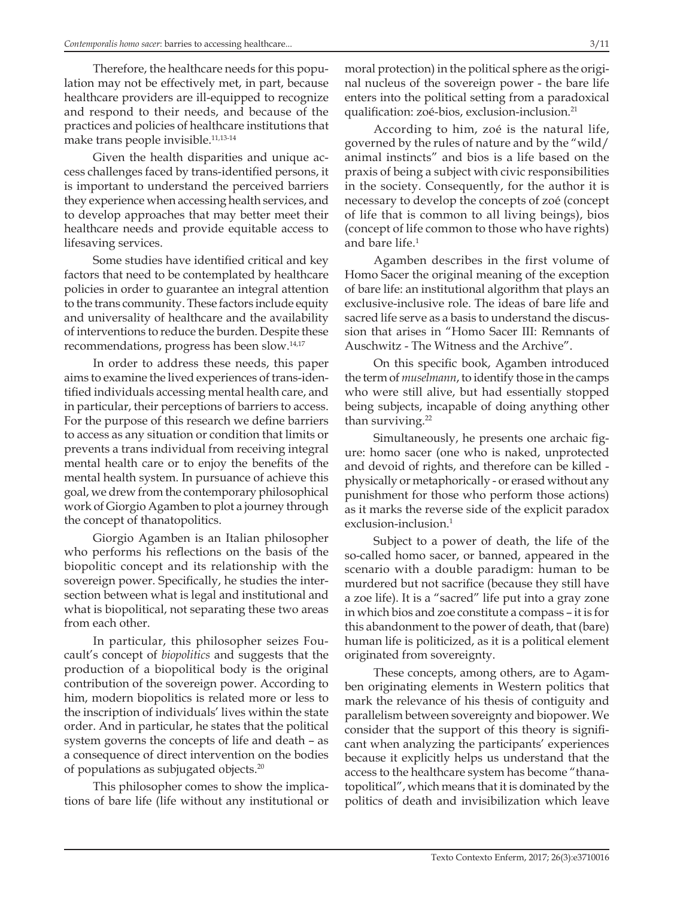Therefore, the healthcare needs for this population may not be effectively met, in part, because healthcare providers are ill-equipped to recognize and respond to their needs, and because of the practices and policies of healthcare institutions that make trans people invisible.11,13-14

Given the health disparities and unique access challenges faced by trans-identified persons, it is important to understand the perceived barriers they experience when accessing health services, and to develop approaches that may better meet their healthcare needs and provide equitable access to lifesaving services.

Some studies have identified critical and key factors that need to be contemplated by healthcare policies in order to guarantee an integral attention to the trans community. These factors include equity and universality of healthcare and the availability of interventions to reduce the burden. Despite these recommendations, progress has been slow.14,17

In order to address these needs, this paper aims to examine the lived experiences of trans-identified individuals accessing mental health care, and in particular, their perceptions of barriers to access. For the purpose of this research we define barriers to access as any situation or condition that limits or prevents a trans individual from receiving integral mental health care or to enjoy the benefits of the mental health system. In pursuance of achieve this goal, we drew from the contemporary philosophical work of Giorgio Agamben to plot a journey through the concept of thanatopolitics.

Giorgio Agamben is an Italian philosopher who performs his reflections on the basis of the biopolitic concept and its relationship with the sovereign power. Specifically, he studies the intersection between what is legal and institutional and what is biopolitical, not separating these two areas from each other.

In particular, this philosopher seizes Foucault's concept of *biopolitics* and suggests that the production of a biopolitical body is the original contribution of the sovereign power. According to him, modern biopolitics is related more or less to the inscription of individuals' lives within the state order. And in particular, he states that the political system governs the concepts of life and death – as a consequence of direct intervention on the bodies of populations as subjugated objects.20

This philosopher comes to show the implications of bare life (life without any institutional or

moral protection) in the political sphere as the original nucleus of the sovereign power - the bare life enters into the political setting from a paradoxical qualification: zoé-bios, exclusion-inclusion.<sup>21</sup>

According to him, zoé is the natural life, governed by the rules of nature and by the "wild/ animal instincts" and bios is a life based on the praxis of being a subject with civic responsibilities in the society. Consequently, for the author it is necessary to develop the concepts of zoé (concept of life that is common to all living beings), bios (concept of life common to those who have rights) and bare life.<sup>1</sup>

Agamben describes in the first volume of Homo Sacer the original meaning of the exception of bare life: an institutional algorithm that plays an exclusive-inclusive role. The ideas of bare life and sacred life serve as a basis to understand the discussion that arises in "Homo Sacer III: Remnants of Auschwitz - The Witness and the Archive".

On this specific book, Agamben introduced the term of *muselmann*, to identify those in the camps who were still alive, but had essentially stopped being subjects, incapable of doing anything other than surviving.<sup>22</sup>

Simultaneously, he presents one archaic figure: homo sacer (one who is naked, unprotected and devoid of rights, and therefore can be killed physically or metaphorically - or erased without any punishment for those who perform those actions) as it marks the reverse side of the explicit paradox exclusion-inclusion.<sup>1</sup>

Subject to a power of death, the life of the so-called homo sacer, or banned, appeared in the scenario with a double paradigm: human to be murdered but not sacrifice (because they still have a zoe life). It is a "sacred" life put into a gray zone in which bios and zoe constitute a compass – it is for this abandonment to the power of death, that (bare) human life is politicized, as it is a political element originated from sovereignty.

These concepts, among others, are to Agamben originating elements in Western politics that mark the relevance of his thesis of contiguity and parallelism between sovereignty and biopower. We consider that the support of this theory is significant when analyzing the participants' experiences because it explicitly helps us understand that the access to the healthcare system has become "thanatopolitical", which means that it is dominated by the politics of death and invisibilization which leave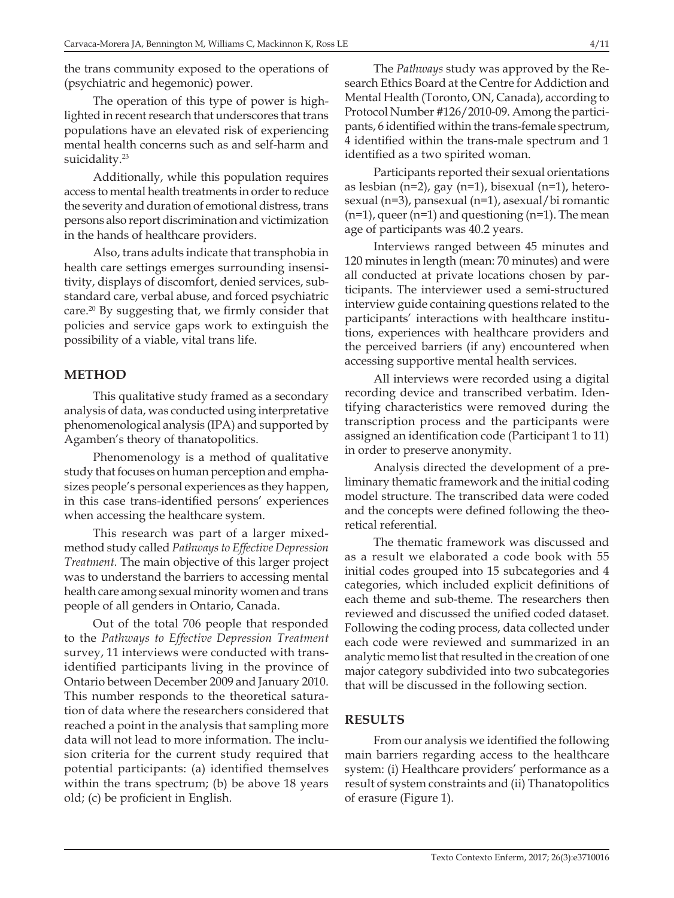the trans community exposed to the operations of (psychiatric and hegemonic) power.

The operation of this type of power is highlighted in recent research that underscores that trans populations have an elevated risk of experiencing mental health concerns such as and self-harm and suicidality.<sup>23</sup>

Additionally, while this population requires access to mental health treatments in order to reduce the severity and duration of emotional distress, trans persons also report discrimination and victimization in the hands of healthcare providers.

Also, trans adults indicate that transphobia in health care settings emerges surrounding insensitivity, displays of discomfort, denied services, substandard care, verbal abuse, and forced psychiatric care.20 By suggesting that, we firmly consider that policies and service gaps work to extinguish the possibility of a viable, vital trans life.

#### **METHOD**

This qualitative study framed as a secondary analysis of data, was conducted using interpretative phenomenological analysis (IPA) and supported by Agamben's theory of thanatopolitics.

Phenomenology is a method of qualitative study that focuses on human perception and emphasizes people's personal experiences as they happen, in this case trans-identified persons' experiences when accessing the healthcare system.

This research was part of a larger mixedmethod study called *Pathways to Effective Depression Treatment.* The main objective of this larger project was to understand the barriers to accessing mental health care among sexual minority women and trans people of all genders in Ontario, Canada.

Out of the total 706 people that responded to the *Pathways to Effective Depression Treatment* survey, 11 interviews were conducted with transidentified participants living in the province of Ontario between December 2009 and January 2010. This number responds to the theoretical saturation of data where the researchers considered that reached a point in the analysis that sampling more data will not lead to more information. The inclusion criteria for the current study required that potential participants: (a) identified themselves within the trans spectrum; (b) be above 18 years old; (c) be proficient in English.

The *Pathways* study was approved by the Research Ethics Board at the Centre for Addiction and Mental Health (Toronto, ON, Canada), according to Protocol Number #126/2010-09. Among the participants, 6 identified within the trans-female spectrum, 4 identified within the trans-male spectrum and 1 identified as a two spirited woman.

Participants reported their sexual orientations as lesbian (n=2), gay (n=1), bisexual (n=1), heterosexual (n=3), pansexual (n=1), asexual/bi romantic  $(n=1)$ , queer  $(n=1)$  and questioning  $(n=1)$ . The mean age of participants was 40.2 years.

Interviews ranged between 45 minutes and 120 minutes in length (mean: 70 minutes) and were all conducted at private locations chosen by participants. The interviewer used a semi-structured interview guide containing questions related to the participants' interactions with healthcare institutions, experiences with healthcare providers and the perceived barriers (if any) encountered when accessing supportive mental health services.

All interviews were recorded using a digital recording device and transcribed verbatim. Identifying characteristics were removed during the transcription process and the participants were assigned an identification code (Participant 1 to 11) in order to preserve anonymity.

Analysis directed the development of a preliminary thematic framework and the initial coding model structure. The transcribed data were coded and the concepts were defined following the theoretical referential.

The thematic framework was discussed and as a result we elaborated a code book with 55 initial codes grouped into 15 subcategories and 4 categories, which included explicit definitions of each theme and sub-theme. The researchers then reviewed and discussed the unified coded dataset. Following the coding process, data collected under each code were reviewed and summarized in an analytic memo list that resulted in the creation of one major category subdivided into two subcategories that will be discussed in the following section.

#### **RESULTS**

From our analysis we identified the following main barriers regarding access to the healthcare system: (i) Healthcare providers' performance as a result of system constraints and (ii) Thanatopolitics of erasure (Figure 1).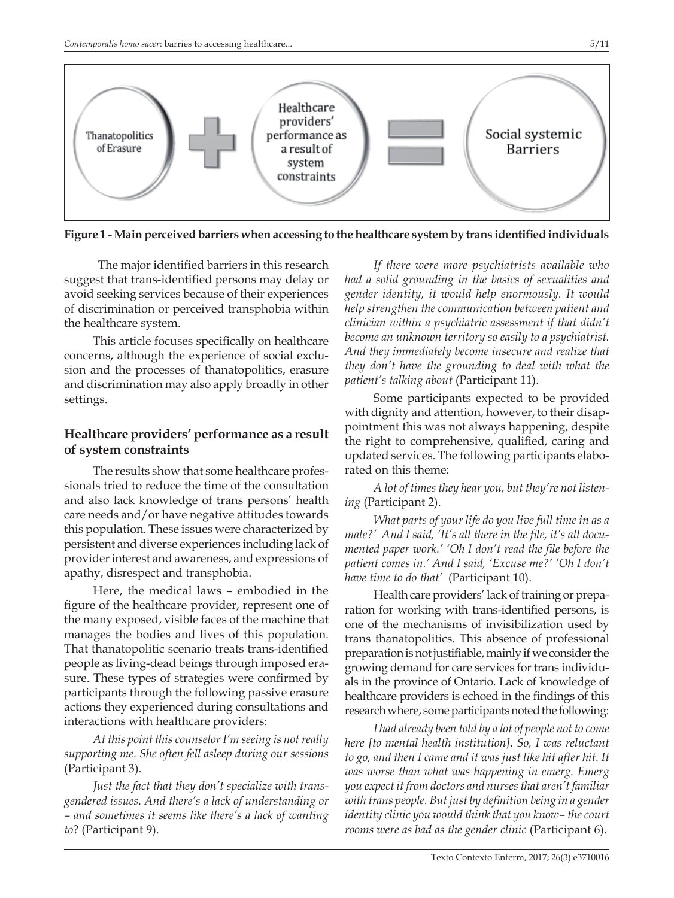

**Figure 1 - Main perceived barriers when accessing to the healthcare system by trans identified individuals** 

 The major identified barriers in this research suggest that trans-identified persons may delay or avoid seeking services because of their experiences of discrimination or perceived transphobia within the healthcare system.

This article focuses specifically on healthcare concerns, although the experience of social exclusion and the processes of thanatopolitics, erasure and discrimination may also apply broadly in other settings.

### **Healthcare providers' performance as a result of system constraints**

The results show that some healthcare professionals tried to reduce the time of the consultation and also lack knowledge of trans persons' health care needs and/or have negative attitudes towards this population. These issues were characterized by persistent and diverse experiences including lack of provider interest and awareness, and expressions of apathy, disrespect and transphobia.

Here, the medical laws – embodied in the figure of the healthcare provider, represent one of the many exposed, visible faces of the machine that manages the bodies and lives of this population. That thanatopolitic scenario treats trans-identified people as living-dead beings through imposed erasure. These types of strategies were confirmed by participants through the following passive erasure actions they experienced during consultations and interactions with healthcare providers:

*At this point this counselor I'm seeing is not really supporting me. She often fell asleep during our sessions* (Participant 3).

*Just the fact that they don't specialize with transgendered issues. And there's a lack of understanding or – and sometimes it seems like there's a lack of wanting to*? (Participant 9).

*If there were more psychiatrists available who had a solid grounding in the basics of sexualities and gender identity, it would help enormously. It would help strengthen the communication between patient and clinician within a psychiatric assessment if that didn't become an unknown territory so easily to a psychiatrist. And they immediately become insecure and realize that they don't have the grounding to deal with what the patient's talking about* (Participant 11).

Some participants expected to be provided with dignity and attention, however, to their disappointment this was not always happening, despite the right to comprehensive, qualified, caring and updated services. The following participants elaborated on this theme:

*A lot of times they hear you, but they're not listening* (Participant 2).

*What parts of your life do you live full time in as a male?' And I said, 'It's all there in the file, it's all documented paper work.' 'Oh I don't read the file before the patient comes in.' And I said, 'Excuse me?' 'Oh I don't have time to do that'* (Participant 10).

Health care providers' lack of training or preparation for working with trans-identified persons, is one of the mechanisms of invisibilization used by trans thanatopolitics. This absence of professional preparation is not justifiable, mainly if we consider the growing demand for care services for trans individuals in the province of Ontario. Lack of knowledge of healthcare providers is echoed in the findings of this research where, some participants noted the following:

*I had already been told by a lot of people not to come here [to mental health institution]. So, I was reluctant to go, and then I came and it was just like hit after hit. It was worse than what was happening in emerg. Emerg you expect it from doctors and nurses that aren't familiar with trans people. But just by definition being in a gender identity clinic you would think that you know– the court rooms were as bad as the gender clinic* (Participant 6).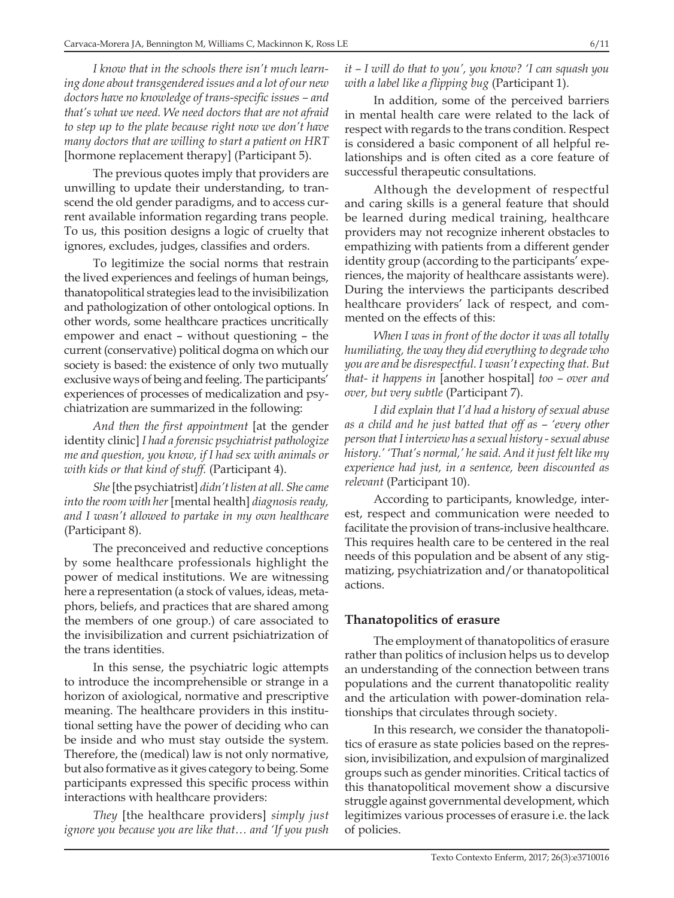*I know that in the schools there isn't much learning done about transgendered issues and a lot of our new doctors have no knowledge of trans-specific issues – and that's what we need. We need doctors that are not afraid to step up to the plate because right now we don't have many doctors that are willing to start a patient on HRT*  [hormone replacement therapy] (Participant 5).

The previous quotes imply that providers are unwilling to update their understanding, to transcend the old gender paradigms, and to access current available information regarding trans people. To us, this position designs a logic of cruelty that ignores, excludes, judges, classifies and orders.

To legitimize the social norms that restrain the lived experiences and feelings of human beings, thanatopolitical strategies lead to the invisibilization and pathologization of other ontological options. In other words, some healthcare practices uncritically empower and enact – without questioning – the current (conservative) political dogma on which our society is based: the existence of only two mutually exclusive ways of being and feeling. The participants' experiences of processes of medicalization and psychiatrization are summarized in the following:

*And then the first appointment* [at the gender identity clinic] *I had a forensic psychiatrist pathologize me and question, you know, if I had sex with animals or with kids or that kind of stuff.* (Participant 4).

*She* [the psychiatrist] *didn't listen at all. She came into the room with her* [mental health] *diagnosis ready, and I wasn't allowed to partake in my own healthcare* (Participant 8).

The preconceived and reductive conceptions by some healthcare professionals highlight the power of medical institutions. We are witnessing here a representation (a stock of values, ideas, metaphors, beliefs, and practices that are shared among the members of one group.) of care associated to the invisibilization and current psichiatrization of the trans identities.

In this sense, the psychiatric logic attempts to introduce the incomprehensible or strange in a horizon of axiological, normative and prescriptive meaning. The healthcare providers in this institutional setting have the power of deciding who can be inside and who must stay outside the system. Therefore, the (medical) law is not only normative, but also formative as it gives category to being. Some participants expressed this specific process within interactions with healthcare providers:

*They* [the healthcare providers] *simply just ignore you because you are like that… and 'If you push*  *it – I will do that to you', you know? 'I can squash you with a label like a flipping bug* (Participant 1).

In addition, some of the perceived barriers in mental health care were related to the lack of respect with regards to the trans condition. Respect is considered a basic component of all helpful relationships and is often cited as a core feature of successful therapeutic consultations.

Although the development of respectful and caring skills is a general feature that should be learned during medical training, healthcare providers may not recognize inherent obstacles to empathizing with patients from a different gender identity group (according to the participants' experiences, the majority of healthcare assistants were). During the interviews the participants described healthcare providers' lack of respect, and commented on the effects of this:

*When I was in front of the doctor it was all totally humiliating, the way they did everything to degrade who you are and be disrespectful. I wasn't expecting that. But that- it happens in* [another hospital] *too – over and over, but very subtle* (Participant 7).

*I did explain that I'd had a history of sexual abuse as a child and he just batted that off as – 'every other person that I interview has a sexual history - sexual abuse history.' 'That's normal,' he said. And it just felt like my experience had just, in a sentence, been discounted as relevant* (Participant 10).

According to participants, knowledge, interest, respect and communication were needed to facilitate the provision of trans-inclusive healthcare. This requires health care to be centered in the real needs of this population and be absent of any stigmatizing, psychiatrization and/or thanatopolitical actions.

### **Thanatopolitics of erasure**

The employment of thanatopolitics of erasure rather than politics of inclusion helps us to develop an understanding of the connection between trans populations and the current thanatopolitic reality and the articulation with power-domination relationships that circulates through society.

In this research, we consider the thanatopolitics of erasure as state policies based on the repression, invisibilization, and expulsion of marginalized groups such as gender minorities. Critical tactics of this thanatopolitical movement show a discursive struggle against governmental development, which legitimizes various processes of erasure i.e. the lack of policies.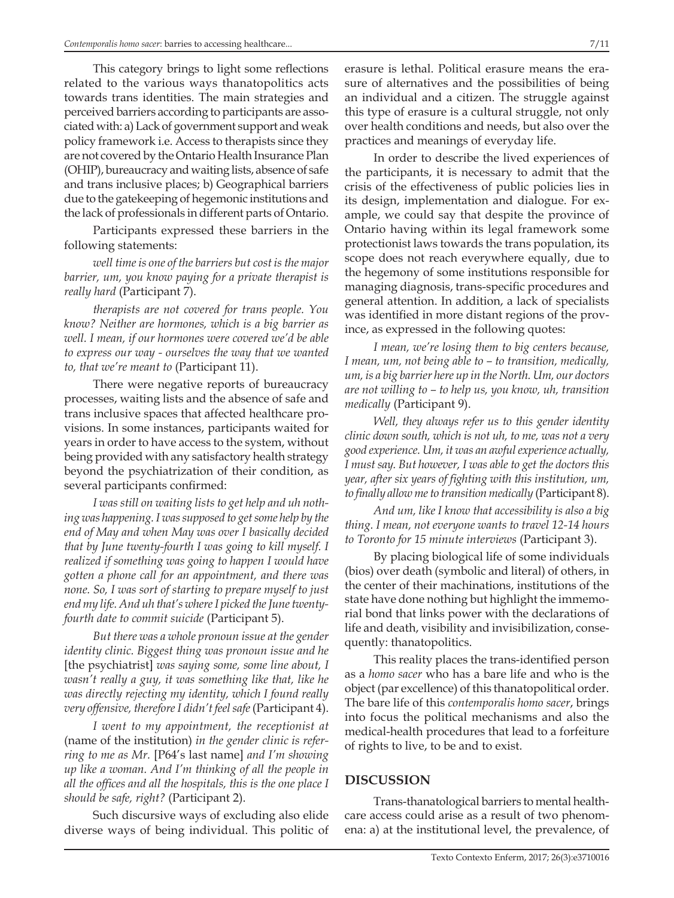This category brings to light some reflections related to the various ways thanatopolitics acts towards trans identities. The main strategies and perceived barriers according to participants are associated with: a) Lack of government support and weak policy framework i.e. Access to therapists since they are not covered by the Ontario Health Insurance Plan (OHIP), bureaucracy and waiting lists, absence of safe and trans inclusive places; b) Geographical barriers due to the gatekeeping of hegemonic institutions and the lack of professionals in different parts of Ontario.

Participants expressed these barriers in the following statements:

*well time is one of the barriers but cost is the major barrier, um, you know paying for a private therapist is really hard* (Participant 7).

*therapists are not covered for trans people. You know? Neither are hormones, which is a big barrier as well. I mean, if our hormones were covered we'd be able to express our way - ourselves the way that we wanted to, that we're meant to* (Participant 11).

There were negative reports of bureaucracy processes, waiting lists and the absence of safe and trans inclusive spaces that affected healthcare provisions. In some instances, participants waited for years in order to have access to the system, without being provided with any satisfactory health strategy beyond the psychiatrization of their condition, as several participants confirmed:

*I was still on waiting lists to get help and uh nothing was happening. I was supposed to get some help by the end of May and when May was over I basically decided that by June twenty-fourth I was going to kill myself. I realized if something was going to happen I would have gotten a phone call for an appointment, and there was none. So, I was sort of starting to prepare myself to just end my life. And uh that's where I picked the June twentyfourth date to commit suicide* (Participant 5).

*But there was a whole pronoun issue at the gender identity clinic. Biggest thing was pronoun issue and he*  [the psychiatrist] *was saying some, some line about, I wasn't really a guy, it was something like that, like he was directly rejecting my identity, which I found really very offensive, therefore I didn't feel safe* (Participant 4).

*I went to my appointment, the receptionist at*  (name of the institution) *in the gender clinic is referring to me as Mr.* [P64's last name] *and I'm showing up like a woman. And I'm thinking of all the people in all the offices and all the hospitals, this is the one place I should be safe, right?* (Participant 2).

Such discursive ways of excluding also elide diverse ways of being individual. This politic of erasure is lethal. Political erasure means the erasure of alternatives and the possibilities of being an individual and a citizen. The struggle against this type of erasure is a cultural struggle, not only over health conditions and needs, but also over the practices and meanings of everyday life.

In order to describe the lived experiences of the participants, it is necessary to admit that the crisis of the effectiveness of public policies lies in its design, implementation and dialogue. For example, we could say that despite the province of Ontario having within its legal framework some protectionist laws towards the trans population, its scope does not reach everywhere equally, due to the hegemony of some institutions responsible for managing diagnosis, trans-specific procedures and general attention. In addition, a lack of specialists was identified in more distant regions of the province, as expressed in the following quotes:

*I mean, we're losing them to big centers because, I mean, um, not being able to – to transition, medically, um, is a big barrier here up in the North. Um, our doctors are not willing to – to help us, you know, uh, transition medically* (Participant 9).

*Well, they always refer us to this gender identity clinic down south, which is not uh, to me, was not a very good experience. Um, it was an awful experience actually, I must say. But however, I was able to get the doctors this year, after six years of fighting with this institution, um, to finally allow me to transition medically* (Participant 8).

*And um, like I know that accessibility is also a big thing. I mean, not everyone wants to travel 12-14 hours to Toronto for 15 minute interviews* (Participant 3).

By placing biological life of some individuals (bios) over death (symbolic and literal) of others, in the center of their machinations, institutions of the state have done nothing but highlight the immemorial bond that links power with the declarations of life and death, visibility and invisibilization, consequently: thanatopolitics.

This reality places the trans-identified person as a *homo sacer* who has a bare life and who is the object (par excellence) of this thanatopolitical order. The bare life of this *contemporalis homo sacer*, brings into focus the political mechanisms and also the medical-health procedures that lead to a forfeiture of rights to live, to be and to exist.

#### **DISCUSSION**

Trans-thanatological barriers to mental healthcare access could arise as a result of two phenomena: a) at the institutional level, the prevalence, of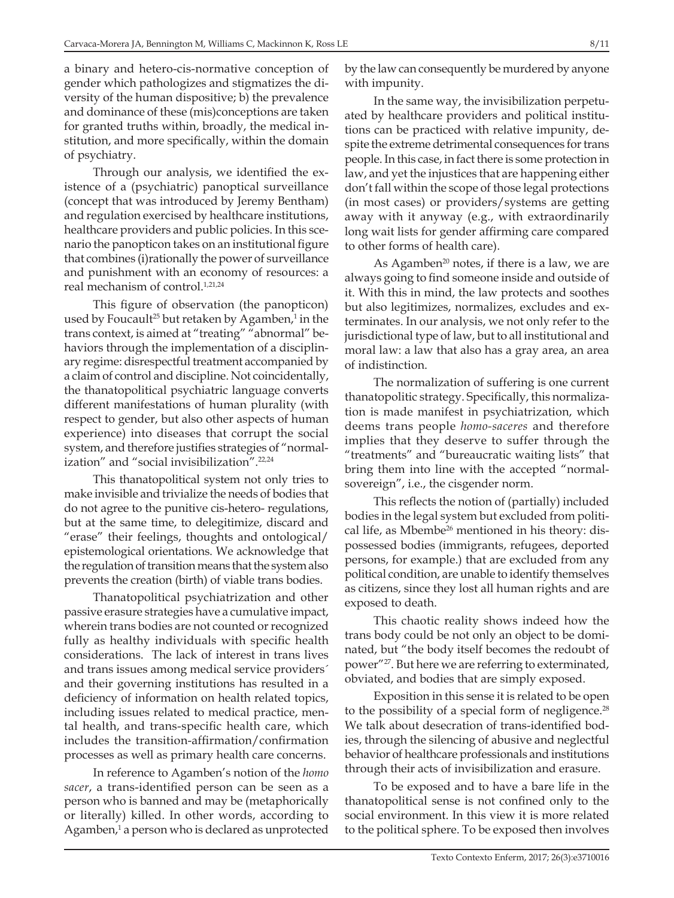a binary and hetero-cis-normative conception of gender which pathologizes and stigmatizes the diversity of the human dispositive; b) the prevalence and dominance of these (mis)conceptions are taken for granted truths within, broadly, the medical institution, and more specifically, within the domain of psychiatry.

Through our analysis, we identified the existence of a (psychiatric) panoptical surveillance (concept that was introduced by Jeremy Bentham) and regulation exercised by healthcare institutions, healthcare providers and public policies. In this scenario the panopticon takes on an institutional figure that combines (i)rationally the power of surveillance and punishment with an economy of resources: a real mechanism of control.<sup>1,21,24</sup>

This figure of observation (the panopticon) used by Foucault<sup>25</sup> but retaken by Agamben,<sup>1</sup> in the trans context, is aimed at "treating" "abnormal" behaviors through the implementation of a disciplinary regime: disrespectful treatment accompanied by a claim of control and discipline. Not coincidentally, the thanatopolitical psychiatric language converts different manifestations of human plurality (with respect to gender, but also other aspects of human experience) into diseases that corrupt the social system, and therefore justifies strategies of "normalization" and "social invisibilization".<sup>22,24</sup>

This thanatopolitical system not only tries to make invisible and trivialize the needs of bodies that do not agree to the punitive cis-hetero- regulations, but at the same time, to delegitimize, discard and "erase" their feelings, thoughts and ontological/ epistemological orientations. We acknowledge that the regulation of transition means that the system also prevents the creation (birth) of viable trans bodies.

Thanatopolitical psychiatrization and other passive erasure strategies have a cumulative impact, wherein trans bodies are not counted or recognized fully as healthy individuals with specific health considerations. The lack of interest in trans lives and trans issues among medical service providers´ and their governing institutions has resulted in a deficiency of information on health related topics, including issues related to medical practice, mental health, and trans-specific health care, which includes the transition-affirmation/confirmation processes as well as primary health care concerns.

In reference to Agamben's notion of the *homo sacer*, a trans-identified person can be seen as a person who is banned and may be (metaphorically or literally) killed. In other words, according to Agamben,<sup>1</sup> a person who is declared as unprotected

by the law can consequently be murdered by anyone with impunity.

In the same way, the invisibilization perpetuated by healthcare providers and political institutions can be practiced with relative impunity, despite the extreme detrimental consequences for trans people. In this case, in fact there is some protection in law, and yet the injustices that are happening either don't fall within the scope of those legal protections (in most cases) or providers/systems are getting away with it anyway (e.g., with extraordinarily long wait lists for gender affirming care compared to other forms of health care).

As Agamben<sup>20</sup> notes, if there is a law, we are always going to find someone inside and outside of it. With this in mind, the law protects and soothes but also legitimizes, normalizes, excludes and exterminates. In our analysis, we not only refer to the jurisdictional type of law, but to all institutional and moral law: a law that also has a gray area, an area of indistinction.

The normalization of suffering is one current thanatopolitic strategy. Specifically, this normalization is made manifest in psychiatrization, which deems trans people *homo-saceres* and therefore implies that they deserve to suffer through the "treatments" and "bureaucratic waiting lists" that bring them into line with the accepted "normalsovereign", i.e., the cisgender norm.

This reflects the notion of (partially) included bodies in the legal system but excluded from political life, as Mbembe<sup>26</sup> mentioned in his theory: dispossessed bodies (immigrants, refugees, deported persons, for example.) that are excluded from any political condition, are unable to identify themselves as citizens, since they lost all human rights and are exposed to death.

This chaotic reality shows indeed how the trans body could be not only an object to be dominated, but "the body itself becomes the redoubt of power"27. But here we are referring to exterminated, obviated, and bodies that are simply exposed.

Exposition in this sense it is related to be open to the possibility of a special form of negligence.<sup>28</sup> We talk about desecration of trans-identified bodies, through the silencing of abusive and neglectful behavior of healthcare professionals and institutions through their acts of invisibilization and erasure.

To be exposed and to have a bare life in the thanatopolitical sense is not confined only to the social environment. In this view it is more related to the political sphere. To be exposed then involves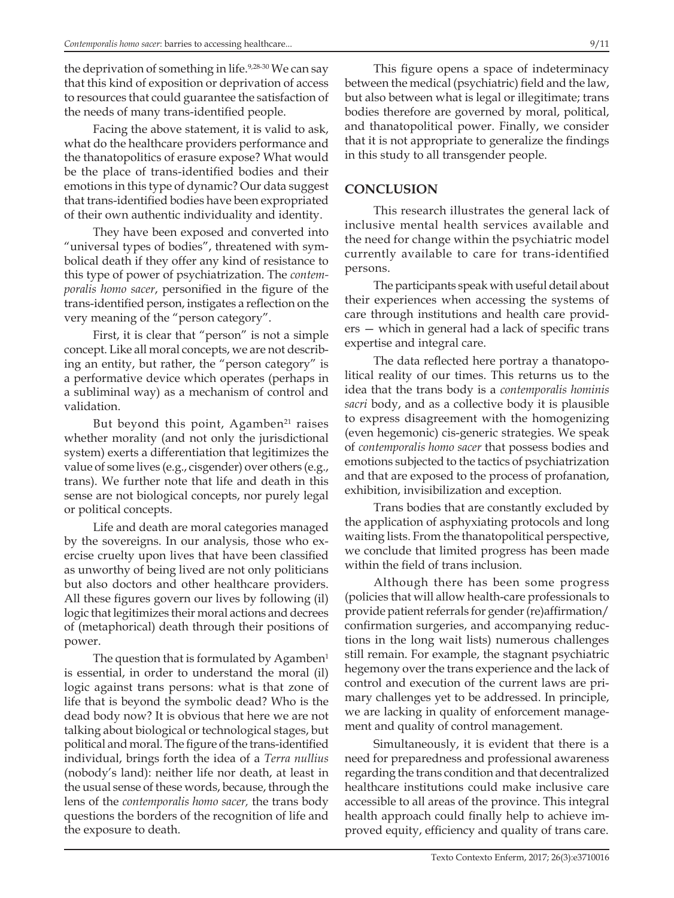the deprivation of something in life.<sup>9,28-30</sup> We can say that this kind of exposition or deprivation of access to resources that could guarantee the satisfaction of the needs of many trans-identified people.

Facing the above statement, it is valid to ask, what do the healthcare providers performance and the thanatopolitics of erasure expose? What would be the place of trans-identified bodies and their emotions in this type of dynamic? Our data suggest that trans-identified bodies have been expropriated of their own authentic individuality and identity.

They have been exposed and converted into "universal types of bodies", threatened with symbolical death if they offer any kind of resistance to this type of power of psychiatrization. The *contemporalis homo sacer*, personified in the figure of the trans-identified person, instigates a reflection on the very meaning of the "person category".

First, it is clear that "person" is not a simple concept. Like all moral concepts, we are not describing an entity, but rather, the "person category" is a performative device which operates (perhaps in a subliminal way) as a mechanism of control and validation.

But beyond this point, Agamben $21$  raises whether morality (and not only the jurisdictional system) exerts a differentiation that legitimizes the value of some lives (e.g., cisgender) over others (e.g., trans). We further note that life and death in this sense are not biological concepts, nor purely legal or political concepts.

Life and death are moral categories managed by the sovereigns. In our analysis, those who exercise cruelty upon lives that have been classified as unworthy of being lived are not only politicians but also doctors and other healthcare providers. All these figures govern our lives by following (il) logic that legitimizes their moral actions and decrees of (metaphorical) death through their positions of power.

The question that is formulated by Agamben $<sup>1</sup>$ </sup> is essential, in order to understand the moral (il) logic against trans persons: what is that zone of life that is beyond the symbolic dead? Who is the dead body now? It is obvious that here we are not talking about biological or technological stages, but political and moral. The figure of the trans-identified individual, brings forth the idea of a *Terra nullius*  (nobody's land): neither life nor death, at least in the usual sense of these words, because, through the lens of the *contemporalis homo sacer,* the trans body questions the borders of the recognition of life and the exposure to death.

This figure opens a space of indeterminacy between the medical (psychiatric) field and the law, but also between what is legal or illegitimate; trans bodies therefore are governed by moral, political, and thanatopolitical power. Finally, we consider that it is not appropriate to generalize the findings in this study to all transgender people.

### **CONCLUSION**

This research illustrates the general lack of inclusive mental health services available and the need for change within the psychiatric model currently available to care for trans-identified persons.

The participants speak with useful detail about their experiences when accessing the systems of care through institutions and health care providers — which in general had a lack of specific trans expertise and integral care.

The data reflected here portray a thanatopolitical reality of our times. This returns us to the idea that the trans body is a *contemporalis hominis sacri* body, and as a collective body it is plausible to express disagreement with the homogenizing (even hegemonic) cis-generic strategies. We speak of *contemporalis homo sacer* that possess bodies and emotions subjected to the tactics of psychiatrization and that are exposed to the process of profanation, exhibition, invisibilization and exception.

Trans bodies that are constantly excluded by the application of asphyxiating protocols and long waiting lists. From the thanatopolitical perspective, we conclude that limited progress has been made within the field of trans inclusion.

Although there has been some progress (policies that will allow health-care professionals to provide patient referrals for gender (re)affirmation/ confirmation surgeries, and accompanying reductions in the long wait lists) numerous challenges still remain. For example, the stagnant psychiatric hegemony over the trans experience and the lack of control and execution of the current laws are primary challenges yet to be addressed. In principle, we are lacking in quality of enforcement management and quality of control management.

Simultaneously, it is evident that there is a need for preparedness and professional awareness regarding the trans condition and that decentralized healthcare institutions could make inclusive care accessible to all areas of the province. This integral health approach could finally help to achieve improved equity, efficiency and quality of trans care.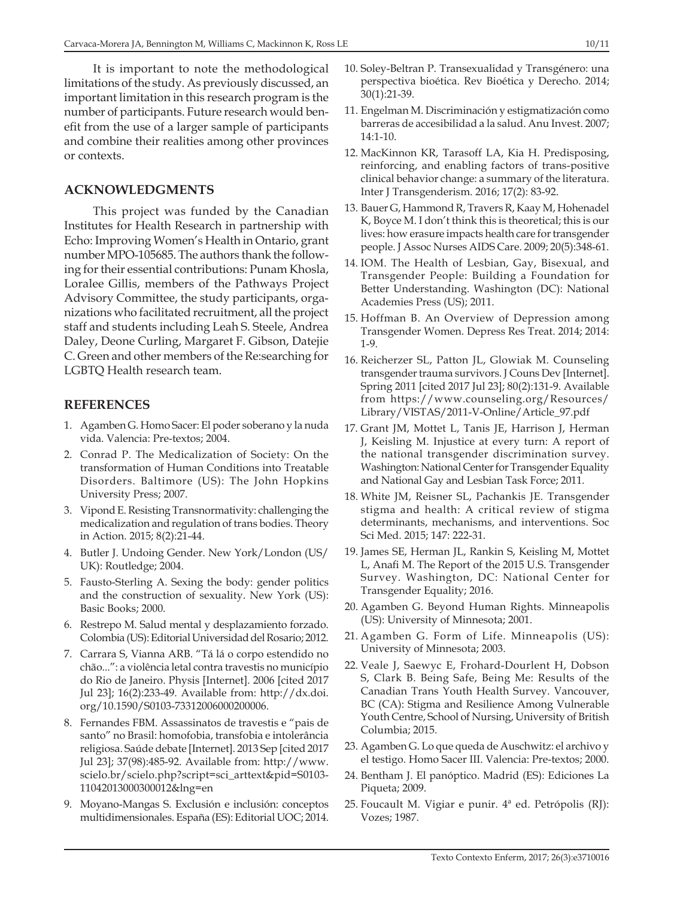It is important to note the methodological limitations of the study. As previously discussed, an important limitation in this research program is the number of participants. Future research would benefit from the use of a larger sample of participants and combine their realities among other provinces or contexts.

### **Acknowledgments**

This project was funded by the Canadian Institutes for Health Research in partnership with Echo: Improving Women's Health in Ontario, grant number MPO-105685. The authors thank the following for their essential contributions: Punam Khosla, Loralee Gillis, members of the Pathways Project Advisory Committee, the study participants, organizations who facilitated recruitment, all the project staff and students including Leah S. Steele, Andrea Daley, Deone Curling, Margaret F. Gibson, Datejie C. Green and other members of the Re:searching for LGBTQ Health research team.

#### **REFERENCES**

- 1. Agamben G. Homo Sacer: El poder soberano y la nuda vida. Valencia: Pre-textos; 2004.
- 2. Conrad P. The Medicalization of Society: On the transformation of Human Conditions into Treatable Disorders. Baltimore (US): The John Hopkins University Press; 2007.
- 3. Vipond E. Resisting Transnormativity: challenging the medicalization and regulation of trans bodies. Theory in Action. 2015; 8(2):21-44.
- 4. Butler J. Undoing Gender. New York/London (US/ UK): Routledge; 2004.
- 5. Fausto-Sterling A. Sexing the body: gender politics and the construction of sexuality. New York (US): Basic Books; 2000.
- 6. Restrepo M. Salud mental y desplazamiento forzado. Colombia (US): Editorial Universidad del Rosario; 2012.
- 7. Carrara S, Vianna ARB. "Tá lá o corpo estendido no chão...": a violência letal contra travestis no município do Rio de Janeiro. Physis [Internet]. 2006 [cited 2017 Jul 23]; 16(2):233-49. Available from: http://dx.doi. org/10.1590/S0103-73312006000200006.
- 8. Fernandes FBM. Assassinatos de travestis e "pais de santo" no Brasil: homofobia, transfobia e intolerância religiosa. Saúde debate [Internet]. 2013 Sep [cited 2017 Jul 23]; 37(98):485-92. Available from: http://www. scielo.br/scielo.php?script=sci\_arttext&pid=S0103- 11042013000300012&lng=en
- 9. Moyano-Mangas S. Exclusión e inclusión: conceptos multidimensionales. España (ES): Editorial UOC; 2014.
- 10. Soley-Beltran P. Transexualidad y Transgénero: una perspectiva bioética. Rev Bioética y Derecho. 2014; 30(1):21-39.
- 11. Engelman M. Discriminación y estigmatización como barreras de accesibilidad a la salud. Anu Invest. 2007; 14:1-10.
- 12. MacKinnon KR, Tarasoff LA, Kia H. Predisposing, reinforcing, and enabling factors of trans-positive clinical behavior change: a summary of the literatura. Inter J Transgenderism. 2016; 17(2): 83-92.
- 13. Bauer G, Hammond R, Travers R, Kaay M, Hohenadel K, Boyce M. I don't think this is theoretical; this is our lives: how erasure impacts health care for transgender people. J Assoc Nurses AIDS Care. 2009; 20(5):348-61.
- 14. IOM. The Health of Lesbian, Gay, Bisexual, and Transgender People: Building a Foundation for Better Understanding. Washington (DC): National Academies Press (US); 2011.
- 15. Hoffman B. An Overview of Depression among Transgender Women. Depress Res Treat. 2014; 2014: 1-9.
- 16. Reicherzer SL, Patton JL, Glowiak M. Counseling transgender trauma survivors. J Couns Dev [Internet]. Spring 2011 [cited 2017 Jul 23]; 80(2):131-9. Available from https://www.counseling.org/Resources/ Library/VISTAS/2011-V-Online/Article\_97.pdf
- 17. Grant JM, Mottet L, Tanis JE, Harrison J, Herman J, Keisling M. Injustice at every turn: A report of the national transgender discrimination survey. Washington: National Center for Transgender Equality and National Gay and Lesbian Task Force; 2011.
- 18. White JM, Reisner SL, Pachankis JE. Transgender stigma and health: A critical review of stigma determinants, mechanisms, and interventions. Soc Sci Med. 2015; 147: 222-31.
- 19. James SE, Herman JL, Rankin S, Keisling M, Mottet L, Anafi M. The Report of the 2015 U.S. Transgender Survey. Washington, DC: National Center for Transgender Equality; 2016.
- 20. Agamben G. Beyond Human Rights. Minneapolis (US): University of Minnesota; 2001.
- 21. Agamben G. Form of Life. Minneapolis (US): University of Minnesota; 2003.
- 22. Veale J, Saewyc E, Frohard-Dourlent H, Dobson S, Clark B. Being Safe, Being Me: Results of the Canadian Trans Youth Health Survey. Vancouver, BC (CA): Stigma and Resilience Among Vulnerable Youth Centre, School of Nursing, University of British Columbia; 2015.
- 23. Agamben G. Lo que queda de Auschwitz: el archivo y el testigo. Homo Sacer III. Valencia: Pre-textos; 2000.
- 24. Bentham J. El panóptico. Madrid (ES): Ediciones La Piqueta; 2009.
- 25. Foucault M. Vigiar e punir. 4ª ed. Petrópolis (RJ): Vozes; 1987.